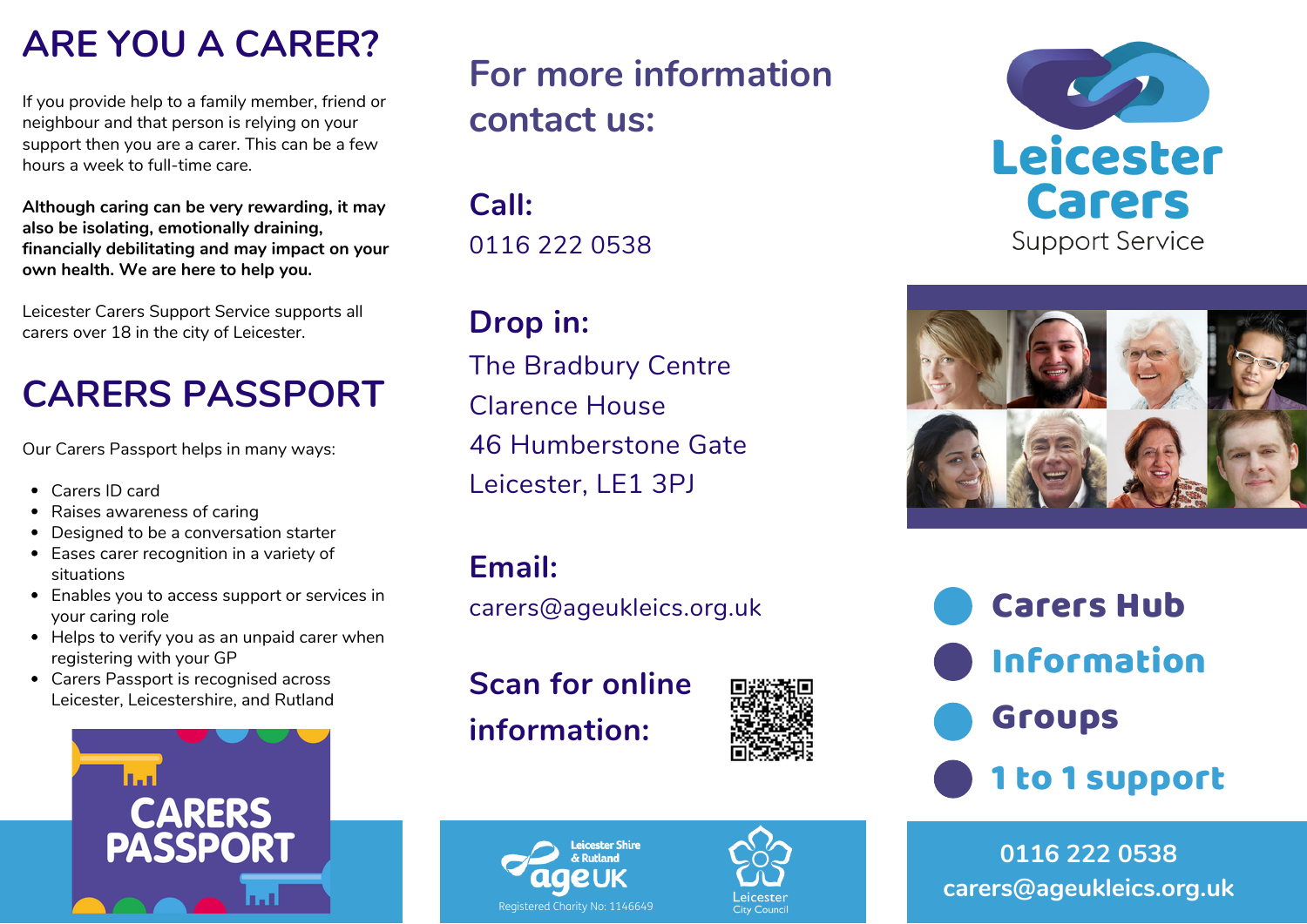### **ARE YOU A CARER?**

If you provide help to a family member, friend or neighbour and that person is relying on your support then you are a carer. This can be a few hours a week to full-time care.

**Although caring can be very rewarding, it may also be isolating, emotionally draining, financially debilitating and may impact on your own health. We are here to help you.**

Leicester Carers Support Service supports all carers over 18 in the city of Leicester.

# **CARERS PASSPORT**

Our Carers Passport helps in many ways:

- Carers ID card
- Raises awareness of caring
- Designed to be a conversation starter
- Eases carer recognition in a variety of situations
- Enables you to access support or services in your caring role
- Helps to verify you as an unpaid carer when registering with your GP
- Carers Passport is recognised across Leicester, Leicestershire, and Rutland



# **For more information contact us:**

**Call:** 0116 222 0538

**Drop in:** The Bradbury Centre Clarence House 46 Humberstone Gate Leicester, LE1 3PJ

### **Email:**

carers@ageukleics.org.uk

**Scan for online information:**









Carers Hub Information Groups 1 to 1 support

**0116 222 0538 carers@ageukleics.org.uk**